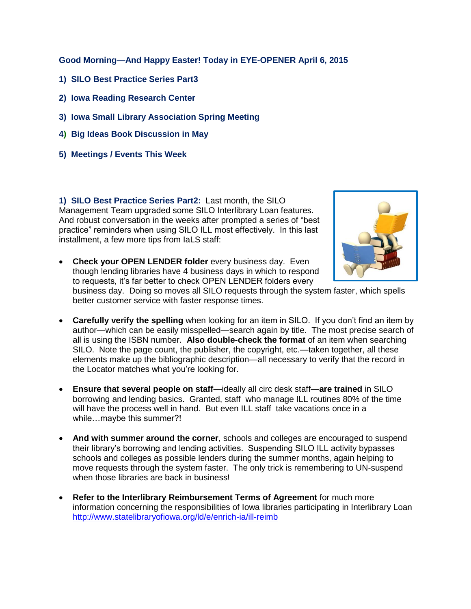**Good Morning—And Happy Easter! Today in EYE-OPENER April 6, 2015**

- **1) SILO Best Practice Series Part3**
- **2) Iowa Reading Research Center**
- **3) Iowa Small Library Association Spring Meeting**
- **4) Big Ideas Book Discussion in May**
- **5) Meetings / Events This Week**

**1) SILO Best Practice Series Part2:** Last month, the SILO Management Team upgraded some SILO Interlibrary Loan features. And robust conversation in the weeks after prompted a series of "best practice" reminders when using SILO ILL most effectively. In this last installment, a few more tips from IaLS staff:



 **Check your OPEN LENDER folder** every business day. Even though lending libraries have 4 business days in which to respond to requests, it's far better to check OPEN LENDER folders every

business day. Doing so moves all SILO requests through the system faster, which spells better customer service with faster response times.

- **Carefully verify the spelling** when looking for an item in SILO. If you don't find an item by author—which can be easily misspelled—search again by title. The most precise search of all is using the ISBN number. **Also double-check the format** of an item when searching SILO. Note the page count, the publisher, the copyright, etc.—taken together, all these elements make up the bibliographic description—all necessary to verify that the record in the Locator matches what you're looking for.
- **Ensure that several people on staff**—ideally all circ desk staff—**are trained** in SILO borrowing and lending basics. Granted, staff who manage ILL routines 80% of the time will have the process well in hand. But even ILL staff take vacations once in a while…maybe this summer?!
- **And with summer around the corner**, schools and colleges are encouraged to suspend their library's borrowing and lending activities. Suspending SILO ILL activity bypasses schools and colleges as possible lenders during the summer months, again helping to move requests through the system faster. The only trick is remembering to UN-suspend when those libraries are back in business!
- **Refer to the Interlibrary Reimbursement Terms of Agreement** for much more information concerning the responsibilities of Iowa libraries participating in Interlibrary Loan <http://www.statelibraryofiowa.org/ld/e/enrich-ia/ill-reimb>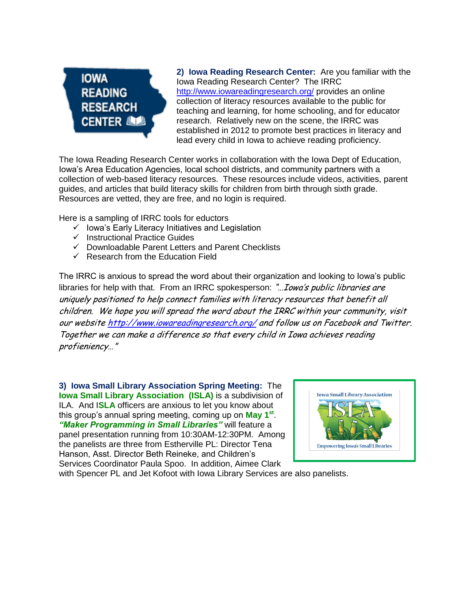## **IOWA READING RESEARCH CENTER LOOD**

**2) Iowa Reading Research Center:** Are you familiar with the Iowa Reading Research Center? The IRRC <http://www.iowareadingresearch.org/> provides an online collection of literacy resources available to the public for teaching and learning, for home schooling, and for educator research. Relatively new on the scene, the IRRC was established in 2012 to promote best practices in literacy and lead every child in Iowa to achieve reading proficiency.

The Iowa Reading Research Center works in collaboration with the Iowa Dept of Education, Iowa's Area Education Agencies, local school districts, and community partners with a collection of web-based literacy resources. These resources include videos, activities, parent guides, and articles that build literacy skills for children from birth through sixth grade. Resources are vetted, they are free, and no login is required.

Here is a sampling of IRRC tools for eductors

- $\checkmark$  lowa's Early Literacy Initiatives and Legislation
- $\checkmark$  Instructional Practice Guides
- $\checkmark$  Downloadable Parent Letters and Parent Checklists
- $\checkmark$  Research from the Education Field

The IRRC is anxious to spread the word about their organization and looking to Iowa's public libraries for help with that. From an IRRC spokesperson: "... Iowa's public libraries are uniquely positioned to help connect families with literacy resources that benefit all children. We hope you will spread the word about the IRRC within your community, visit our website <http://www.iowareadingresearch.org/> and follow us on Facebook and Twitter. Together we can make a difference so that every child in Iowa achieves reading profieniency…"

**3) Iowa Small Library Association Spring Meeting:** The **Iowa Small Library Association (ISLA)** is a subdivision of ILA. And I**SLA** officers are anxious to let you know about this group's annual spring meeting, coming up on **May 1st** . *"Maker Programming in Small Libraries"* will feature a panel presentation running from 10:30AM-12:30PM. Among the panelists are three from Estherville PL: Director Tena Hanson, Asst. Director Beth Reineke, and Children's Services Coordinator Paula Spoo. In addition, Aimee Clark



with Spencer PL and Jet Kofoot with Iowa Library Services are also panelists.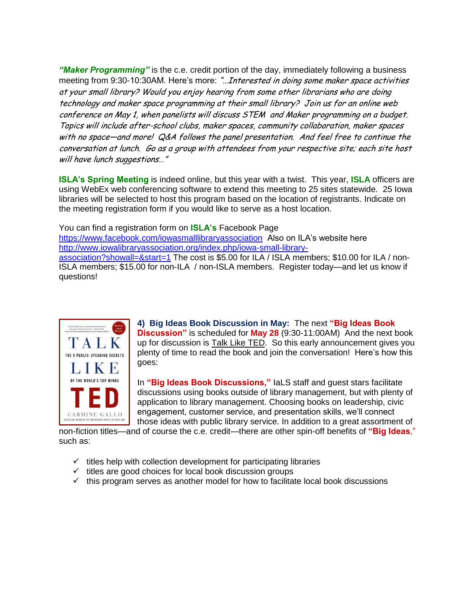*"Maker Programming"* is the c.e. credit portion of the day, immediately following a business meeting from 9:30-10:30AM. Here's more: "... Interested in doing some maker space activities at your small library? Would you enjoy hearing from some other librarians who are doing technology and maker space programming at their small library? Join us for an online web conference on May 1, when panelists will discuss STEM and Maker programming on a budget. Topics will include after-school clubs, maker spaces, community collaboration, maker spaces with no space—and more! Q&A follows the panel presentation. And feel free to continue the conversation at lunch. Go as a group with attendees from your respective site; each site host will have lunch suggestions…"

**ISLA's Spring Meeting** is indeed online, but this year with a twist. This year, **ISLA** officers are using WebEx web conferencing software to extend this meeting to 25 sites statewide. 25 Iowa libraries will be selected to host this program based on the location of registrants. Indicate on the meeting registration form if you would like to serve as a host location.

You can find a registration form on **ISLA's** Facebook Page <https://www.facebook.com/iowasmalllibraryassociation>Also on ILA's website here [http://www.iowalibraryassociation.org/index.php/iowa-small-library](http://www.iowalibraryassociation.org/index.php/iowa-small-library-association?showall=&start=1)[association?showall=&start=1](http://www.iowalibraryassociation.org/index.php/iowa-small-library-association?showall=&start=1) The cost is \$5.00 for ILA / ISLA members; \$10.00 for ILA / non-ISLA members; \$15.00 for non-ILA / non-ISLA members. Register today—and let us know if questions!



**4) Big Ideas Book Discussion in May:** The next **"Big Ideas Book Discussion"** is scheduled for **May 28** (9:30-11:00AM) And the next book up for discussion is Talk Like TED. So this early announcement gives you plenty of time to read the book and join the conversation! Here's how this goes:

In **"Big Ideas Book Discussions,"** IaLS staff and guest stars facilitate discussions using books outside of library management, but with plenty of application to library management. Choosing books on leadership, civic engagement, customer service, and presentation skills, we'll connect those ideas with public library service. In addition to a great assortment of

non-fiction titles—and of course the c.e. credit—there are other spin-off benefits of **"Big Ideas**," such as:

- $\checkmark$  titles help with collection development for participating libraries
- $\checkmark$  titles are good choices for local book discussion groups
- $\checkmark$  this program serves as another model for how to facilitate local book discussions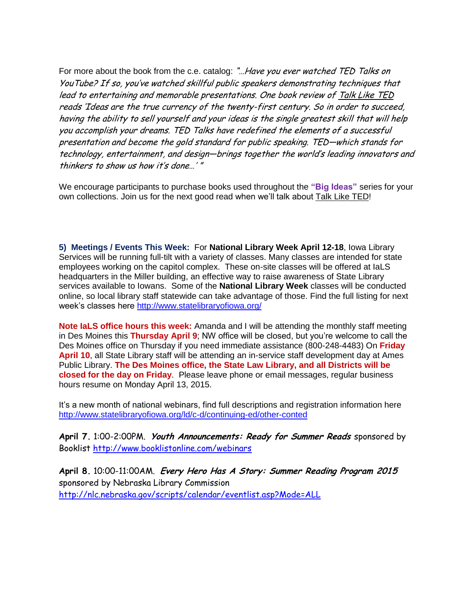For more about the book from the c.e. catalog: "...Have you ever watched TED Talks on YouTube? If so, you've watched skillful public speakers demonstrating techniques that lead to entertaining and memorable presentations. One book review of Talk Like TED reads 'Ideas are the true currency of the twenty-first century. So in order to succeed, having the ability to sell yourself and your ideas is the single greatest skill that will help you accomplish your dreams. TED Talks have redefined the elements of a successful presentation and become the gold standard for public speaking. TED—which stands for technology, entertainment, and design—brings together the world's leading innovators and thinkers to show us how it's done…' "

We encourage participants to purchase books used throughout the **"Big Ideas"** series for your own collections. Join us for the next good read when we'll talk about Talk Like TED!

**5) Meetings / Events This Week:** For **National Library Week April 12-18**, Iowa Library Services will be running full-tilt with a variety of classes. Many classes are intended for state employees working on the capitol complex. These on-site classes will be offered at IaLS headquarters in the Miller building, an effective way to raise awareness of State Library services available to Iowans. Some of the **National Library Week** classes will be conducted online, so local library staff statewide can take advantage of those. Find the full listing for next week's classes here<http://www.statelibraryofiowa.org/>

**Note IaLS office hours this week:** Amanda and I will be attending the monthly staff meeting in Des Moines this **Thursday April 9**; NW office will be closed, but you're welcome to call the Des Moines office on Thursday if you need immediate assistance (800-248-4483) On **Friday April 10**, all State Library staff will be attending an in-service staff development day at Ames Public Library. **The Des Moines office, the State Law Library, and all Districts will be closed for the day on Friday**. Please leave phone or email messages, regular business hours resume on Monday April 13, 2015.

It's a new month of national webinars, find full descriptions and registration information here <http://www.statelibraryofiowa.org/ld/c-d/continuing-ed/other-conted>

**April 7.** 1:00-2:00PM. **Youth Announcements: Ready for Summer Reads** sponsored by Booklist <http://www.booklistonline.com/webinars>

**April 8.** 10:00-11:00AM. **Every Hero Has A Story: Summer Reading Program 2015** sponsored by Nebraska Library Commission <http://nlc.nebraska.gov/scripts/calendar/eventlist.asp?Mode=ALL>